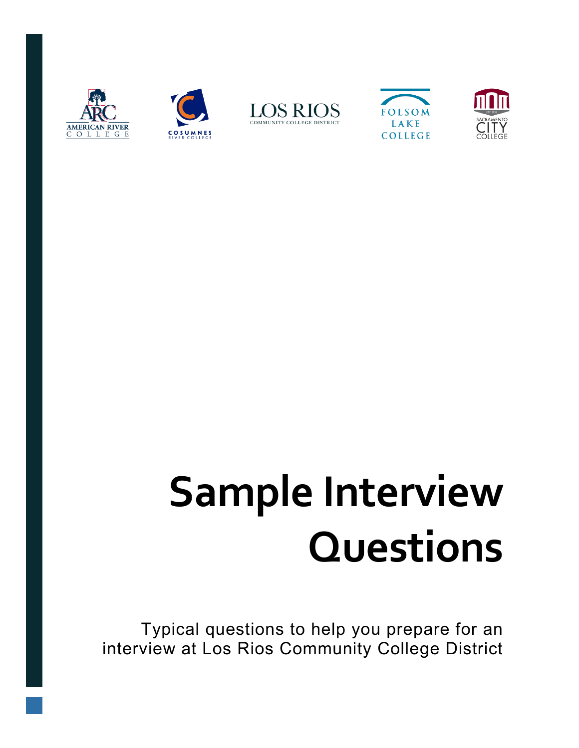









# **Sample Interview Questions**

Typical questions to help you prepare for an interview at Los Rios Community College District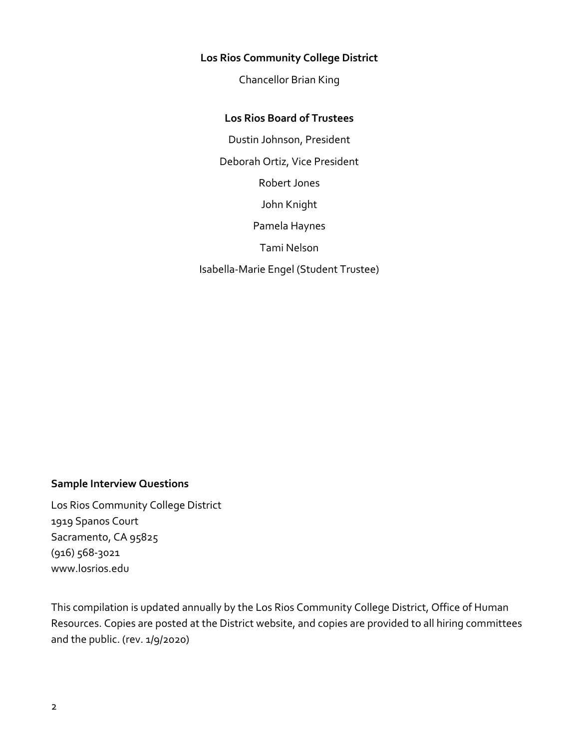#### **Los Rios Community College District**

Chancellor Brian King

#### **Los Rios Board of Trustees**

Dustin Johnson, President Deborah Ortiz, Vice President Robert Jones John Knight Pamela Haynes Tami Nelson Isabella-Marie Engel (Student Trustee)

#### **Sample Interview Questions**

Los Rios Community College District 1919 Spanos Court Sacramento, CA 95825 (916) 568-3021 www.losrios.edu

This compilation is updated annually by the Los Rios Community College District, Office of Human Resources. Copies are posted at the District website, and copies are provided to all hiring committees and the public. (rev. 1/9/2020)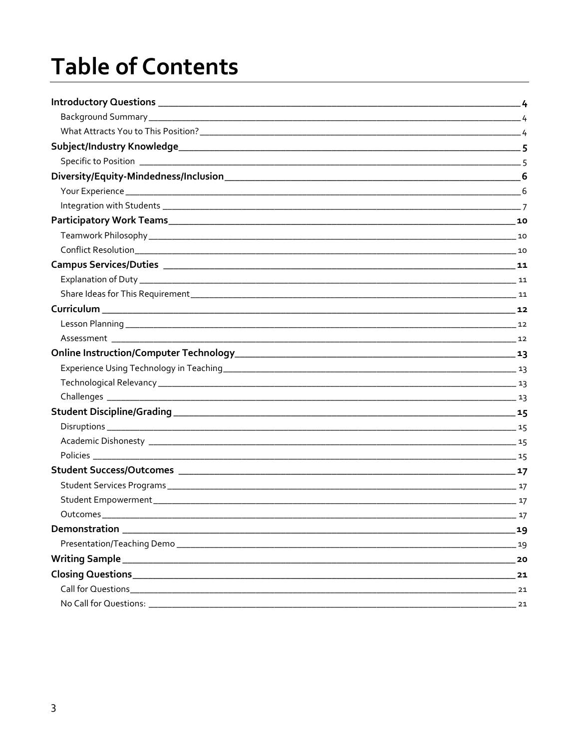### **Table of Contents**

| Outcomes | 17   |
|----------|------|
|          | 19   |
|          | .19  |
|          | 20   |
|          | 21   |
|          | $21$ |
|          | 21   |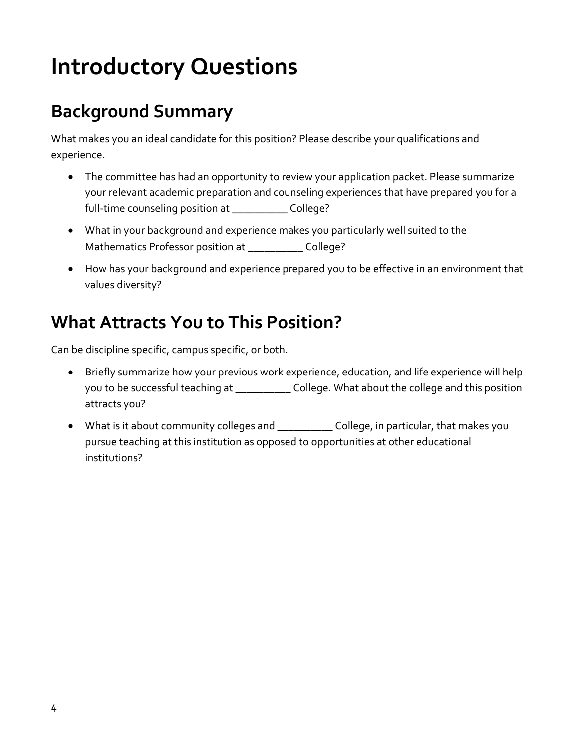### <span id="page-3-0"></span>**Introductory Questions**

#### <span id="page-3-1"></span>**Background Summary**

What makes you an ideal candidate for this position? Please describe your qualifications and experience.

- The committee has had an opportunity to review your application packet. Please summarize your relevant academic preparation and counseling experiences that have prepared you for a full-time counseling position at \_\_\_\_\_\_\_\_\_\_ College?
- What in your background and experience makes you particularly well suited to the Mathematics Professor position at \_\_\_\_\_\_\_\_\_\_ College?
- How has your background and experience prepared you to be effective in an environment that values diversity?

#### <span id="page-3-2"></span>**What Attracts You to This Position?**

Can be discipline specific, campus specific, or both.

- Briefly summarize how your previous work experience, education, and life experience will help you to be successful teaching at \_\_\_\_\_\_\_\_\_\_ College. What about the college and this position attracts you?
- What is it about community colleges and \_\_\_\_\_\_\_\_\_\_ College, in particular, that makes you pursue teaching at this institution as opposed to opportunities at other educational institutions?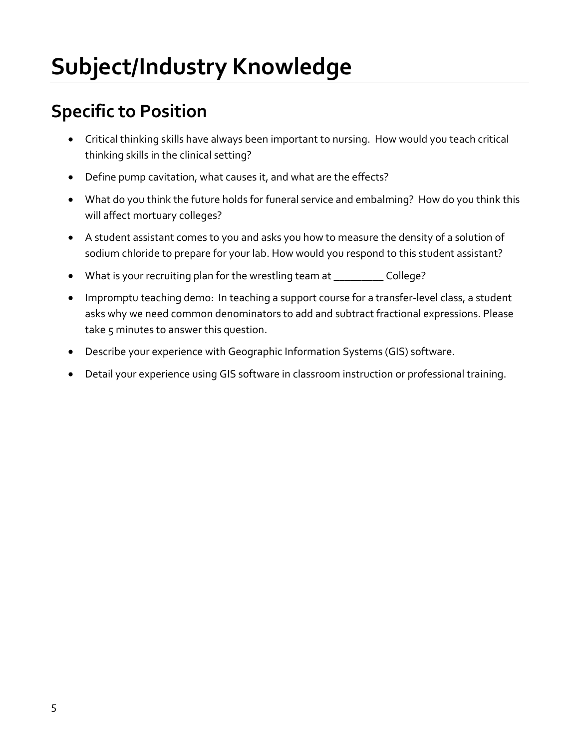#### <span id="page-4-1"></span><span id="page-4-0"></span>**Specific to Position**

- Critical thinking skills have always been important to nursing. How would you teach critical thinking skills in the clinical setting?
- Define pump cavitation, what causes it, and what are the effects?
- What do you think the future holds for funeral service and embalming? How do you think this will affect mortuary colleges?
- A student assistant comes to you and asks you how to measure the density of a solution of sodium chloride to prepare for your lab. How would you respond to this student assistant?
- What is your recruiting plan for the wrestling team at \_\_\_\_\_\_\_\_\_\_\_\_\_ College?
- Impromptu teaching demo: In teaching a support course for a transfer-level class, a student asks why we need common denominators to add and subtract fractional expressions. Please take 5 minutes to answer this question.
- Describe your experience with Geographic Information Systems (GIS) software.
- Detail your experience using GIS software in classroom instruction or professional training.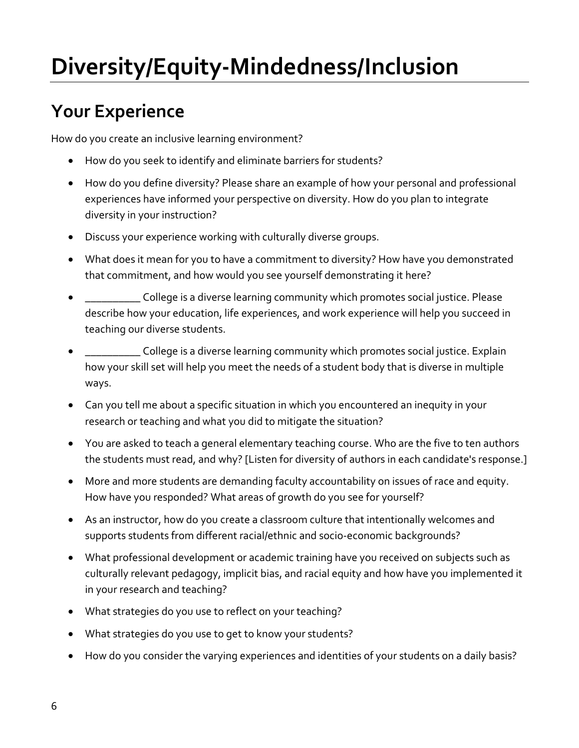# <span id="page-5-0"></span>**Diversity/Equity-Mindedness/Inclusion**

#### <span id="page-5-1"></span>**Your Experience**

How do you create an inclusive learning environment?

- How do you seek to identify and eliminate barriers for students?
- How do you define diversity? Please share an example of how your personal and professional experiences have informed your perspective on diversity. How do you plan to integrate diversity in your instruction?
- Discuss your experience working with culturally diverse groups.
- What does it mean for you to have a commitment to diversity? How have you demonstrated that commitment, and how would you see yourself demonstrating it here?
- $\Box$  College is a diverse learning community which promotes social justice. Please describe how your education, life experiences, and work experience will help you succeed in teaching our diverse students.
- \_\_\_\_\_\_\_\_\_\_ College is a diverse learning community which promotes social justice. Explain how your skill set will help you meet the needs of a student body that is diverse in multiple ways.
- Can you tell me about a specific situation in which you encountered an inequity in your research or teaching and what you did to mitigate the situation?
- You are asked to teach a general elementary teaching course. Who are the five to ten authors the students must read, and why? [Listen for diversity of authors in each candidate's response.]
- More and more students are demanding faculty accountability on issues of race and equity. How have you responded? What areas of growth do you see for yourself?
- As an instructor, how do you create a classroom culture that intentionally welcomes and supports students from different racial/ethnic and socio-economic backgrounds?
- What professional development or academic training have you received on subjects such as culturally relevant pedagogy, implicit bias, and racial equity and how have you implemented it in your research and teaching?
- What strategies do you use to reflect on your teaching?
- What strategies do you use to get to know your students?
- How do you consider the varying experiences and identities of your students on a daily basis?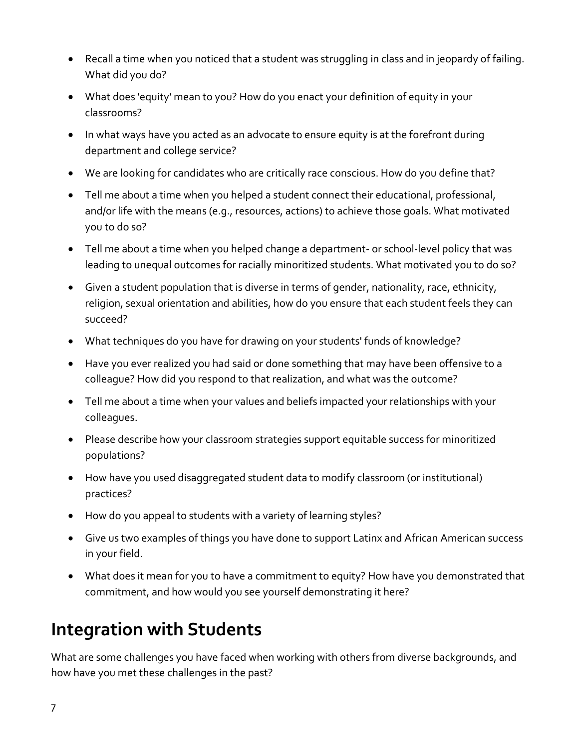- Recall a time when you noticed that a student was struggling in class and in jeopardy of failing. What did you do?
- What does 'equity' mean to you? How do you enact your definition of equity in your classrooms?
- In what ways have you acted as an advocate to ensure equity is at the forefront during department and college service?
- We are looking for candidates who are critically race conscious. How do you define that?
- Tell me about a time when you helped a student connect their educational, professional, and/or life with the means (e.g., resources, actions) to achieve those goals. What motivated you to do so?
- Tell me about a time when you helped change a department- or school-level policy that was leading to unequal outcomes for racially minoritized students. What motivated you to do so?
- Given a student population that is diverse in terms of gender, nationality, race, ethnicity, religion, sexual orientation and abilities, how do you ensure that each student feels they can succeed?
- What techniques do you have for drawing on your students' funds of knowledge?
- Have you ever realized you had said or done something that may have been offensive to a colleague? How did you respond to that realization, and what was the outcome?
- Tell me about a time when your values and beliefs impacted your relationships with your colleagues.
- Please describe how your classroom strategies support equitable success for minoritized populations?
- How have you used disaggregated student data to modify classroom (or institutional) practices?
- How do you appeal to students with a variety of learning styles?
- Give us two examples of things you have done to support Latinx and African American success in your field.
- What does it mean for you to have a commitment to equity? How have you demonstrated that commitment, and how would you see yourself demonstrating it here?

#### <span id="page-6-0"></span>**Integration with Students**

What are some challenges you have faced when working with others from diverse backgrounds, and how have you met these challenges in the past?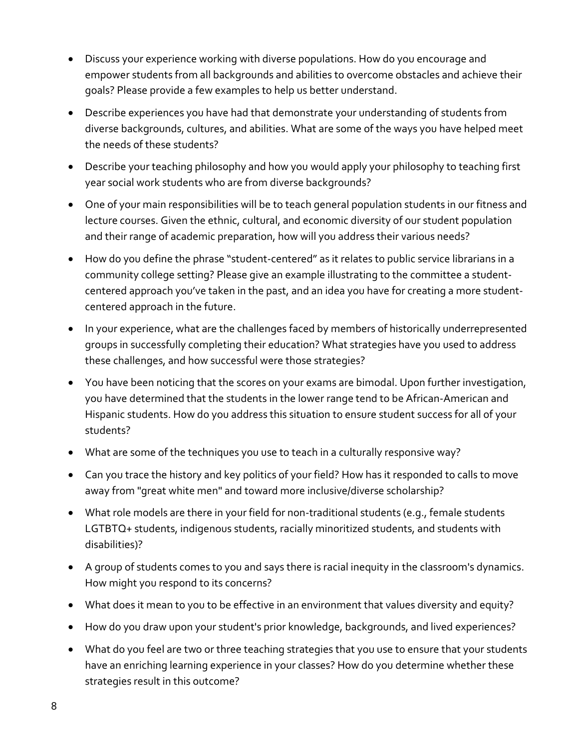- Discuss your experience working with diverse populations. How do you encourage and empower students from all backgrounds and abilities to overcome obstacles and achieve their goals? Please provide a few examples to help us better understand.
- Describe experiences you have had that demonstrate your understanding of students from diverse backgrounds, cultures, and abilities. What are some of the ways you have helped meet the needs of these students?
- Describe your teaching philosophy and how you would apply your philosophy to teaching first year social work students who are from diverse backgrounds?
- One of your main responsibilities will be to teach general population students in our fitness and lecture courses. Given the ethnic, cultural, and economic diversity of our student population and their range of academic preparation, how will you address their various needs?
- How do you define the phrase "student-centered" as it relates to public service librarians in a community college setting? Please give an example illustrating to the committee a studentcentered approach you've taken in the past, and an idea you have for creating a more studentcentered approach in the future.
- In your experience, what are the challenges faced by members of historically underrepresented groups in successfully completing their education? What strategies have you used to address these challenges, and how successful were those strategies?
- You have been noticing that the scores on your exams are bimodal. Upon further investigation, you have determined that the students in the lower range tend to be African-American and Hispanic students. How do you address this situation to ensure student success for all of your students?
- What are some of the techniques you use to teach in a culturally responsive way?
- Can you trace the history and key politics of your field? How has it responded to calls to move away from "great white men" and toward more inclusive/diverse scholarship?
- What role models are there in your field for non-traditional students (e.g., female students LGTBTQ+ students, indigenous students, racially minoritized students, and students with disabilities)?
- A group of students comes to you and says there is racial inequity in the classroom's dynamics. How might you respond to its concerns?
- What does it mean to you to be effective in an environment that values diversity and equity?
- How do you draw upon your student's prior knowledge, backgrounds, and lived experiences?
- What do you feel are two or three teaching strategies that you use to ensure that your students have an enriching learning experience in your classes? How do you determine whether these strategies result in this outcome?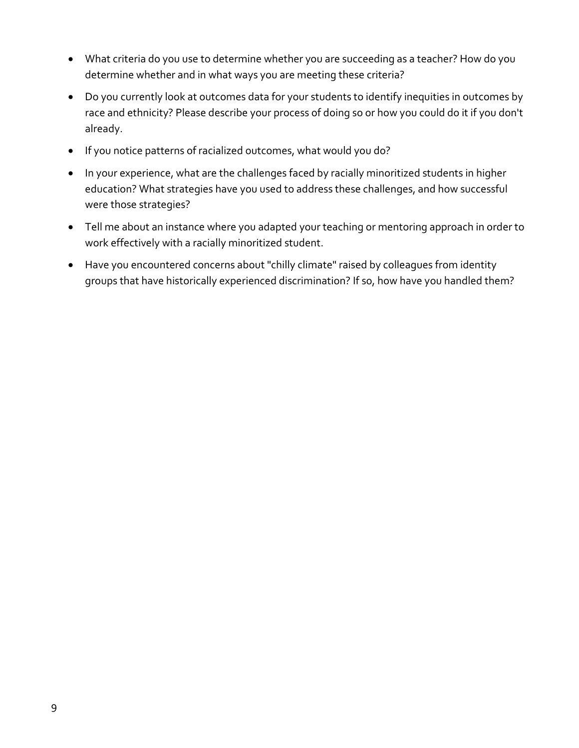- What criteria do you use to determine whether you are succeeding as a teacher? How do you determine whether and in what ways you are meeting these criteria?
- Do you currently look at outcomes data for your students to identify inequities in outcomes by race and ethnicity? Please describe your process of doing so or how you could do it if you don't already.
- If you notice patterns of racialized outcomes, what would you do?
- In your experience, what are the challenges faced by racially minoritized students in higher education? What strategies have you used to address these challenges, and how successful were those strategies?
- Tell me about an instance where you adapted your teaching or mentoring approach in order to work effectively with a racially minoritized student.
- Have you encountered concerns about "chilly climate" raised by colleagues from identity groups that have historically experienced discrimination? If so, how have you handled them?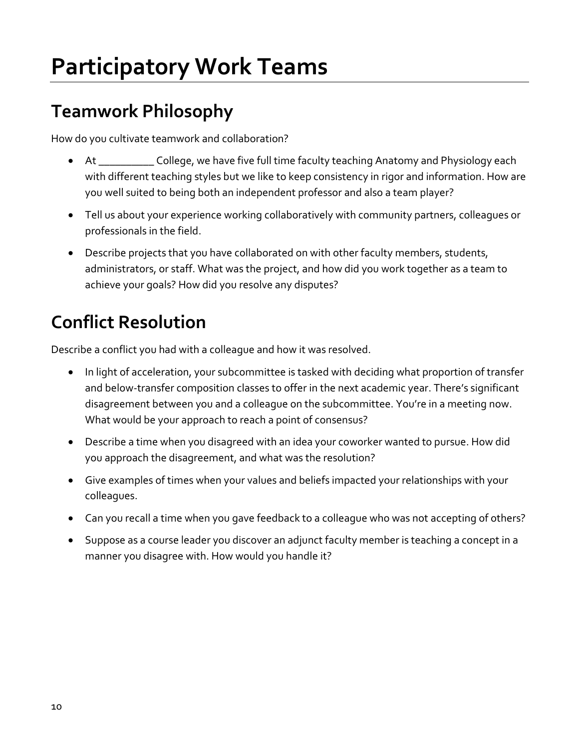## <span id="page-9-0"></span>**Participatory Work Teams**

#### <span id="page-9-1"></span>**Teamwork Philosophy**

How do you cultivate teamwork and collaboration?

- At \_\_\_\_\_\_\_\_\_\_\_ College, we have five full time faculty teaching Anatomy and Physiology each with different teaching styles but we like to keep consistency in rigor and information. How are you well suited to being both an independent professor and also a team player?
- Tell us about your experience working collaboratively with community partners, colleagues or professionals in the field.
- Describe projects that you have collaborated on with other faculty members, students, administrators, or staff. What was the project, and how did you work together as a team to achieve your goals? How did you resolve any disputes?

#### <span id="page-9-2"></span>**Conflict Resolution**

Describe a conflict you had with a colleague and how it was resolved.

- In light of acceleration, your subcommittee is tasked with deciding what proportion of transfer and below-transfer composition classes to offer in the next academic year. There's significant disagreement between you and a colleague on the subcommittee. You're in a meeting now. What would be your approach to reach a point of consensus?
- Describe a time when you disagreed with an idea your coworker wanted to pursue. How did you approach the disagreement, and what was the resolution?
- Give examples of times when your values and beliefs impacted your relationships with your colleagues.
- Can you recall a time when you gave feedback to a colleague who was not accepting of others?
- Suppose as a course leader you discover an adjunct faculty member is teaching a concept in a manner you disagree with. How would you handle it?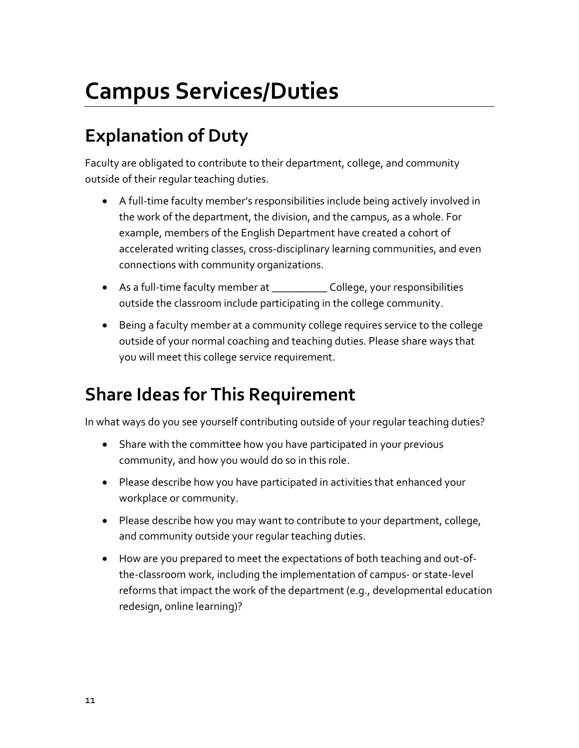### <span id="page-10-0"></span>**Campus Services/Duties**

#### <span id="page-10-1"></span>**Explanation of Duty**

Faculty are obligated to contribute to their department, college, and community outside of their regular teaching duties.

- A full-time faculty member's responsibilities include being actively involved in the work of the department, the division, and the campus, as a whole. For example, members of the English Department have created a cohort of accelerated writing classes, cross-disciplinary learning communities, and even connections with community organizations.
- As a full-time faculty member at \_\_\_\_\_\_\_\_\_\_\_\_ College, your responsibilities outside the classroom include participating in the college community.
- Being a faculty member at a community college requires service to the college outside of your normal coaching and teaching duties. Please share ways that you will meet this college service requirement.

#### <span id="page-10-2"></span>**Share Ideas for This Requirement**

In what ways do you see yourself contributing outside of your regular teaching duties?

- Share with the committee how you have participated in your previous community, and how you would do so in this role.
- Please describe how you have participated in activities that enhanced your workplace or community.
- Please describe how you may want to contribute to your department, college, and community outside your regular teaching duties.
- How are you prepared to meet the expectations of both teaching and out-ofthe-classroom work, including the implementation of campus- or state-level reforms that impact the work of the department (e.g., developmental education redesign, online learning)?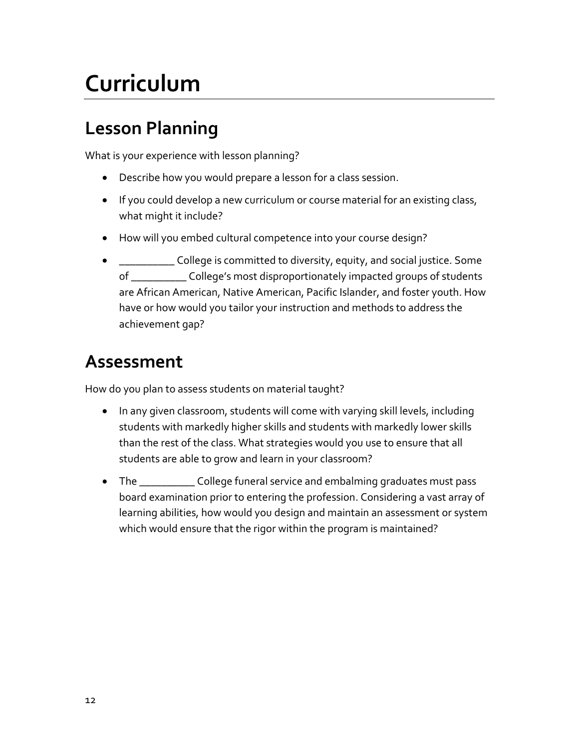### <span id="page-11-0"></span>**Curriculum**

#### <span id="page-11-1"></span>**Lesson Planning**

What is your experience with lesson planning?

- Describe how you would prepare a lesson for a class session.
- If you could develop a new curriculum or course material for an existing class, what might it include?
- How will you embed cultural competence into your course design?
- $\Box$  College is committed to diversity, equity, and social justice. Some of \_\_\_\_\_\_\_\_\_\_ College's most disproportionately impacted groups of students are African American, Native American, Pacific Islander, and foster youth. How have or how would you tailor your instruction and methods to address the achievement gap?

#### <span id="page-11-2"></span>**Assessment**

How do you plan to assess students on material taught?

- In any given classroom, students will come with varying skill levels, including students with markedly higher skills and students with markedly lower skills than the rest of the class. What strategies would you use to ensure that all students are able to grow and learn in your classroom?
- The \_\_\_\_\_\_\_\_\_\_\_\_ College funeral service and embalming graduates must pass board examination prior to entering the profession. Considering a vast array of learning abilities, how would you design and maintain an assessment or system which would ensure that the rigor within the program is maintained?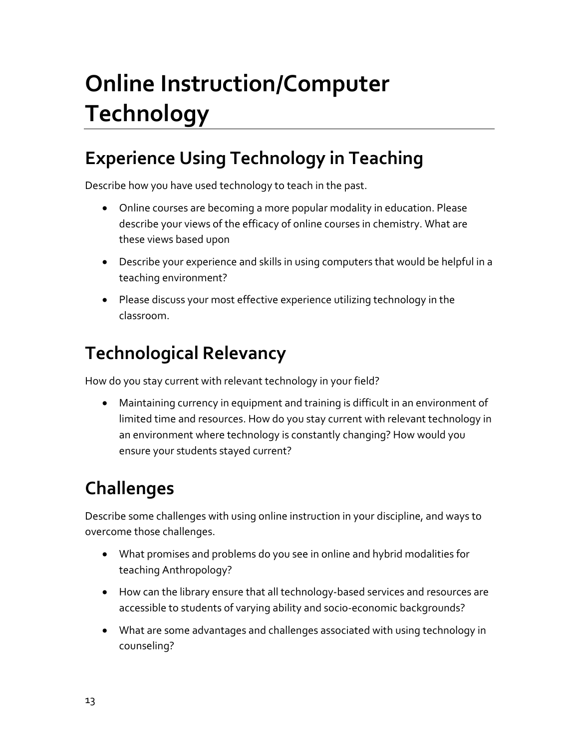# <span id="page-12-0"></span>**Online Instruction/Computer Technology**

#### <span id="page-12-1"></span>**Experience Using Technology in Teaching**

Describe how you have used technology to teach in the past.

- Online courses are becoming a more popular modality in education. Please describe your views of the efficacy of online courses in chemistry. What are these views based upon
- Describe your experience and skills in using computers that would be helpful in a teaching environment?
- Please discuss your most effective experience utilizing technology in the classroom.

#### <span id="page-12-2"></span>**Technological Relevancy**

How do you stay current with relevant technology in your field?

• Maintaining currency in equipment and training is difficult in an environment of limited time and resources. How do you stay current with relevant technology in an environment where technology is constantly changing? How would you ensure your students stayed current?

### <span id="page-12-3"></span>**Challenges**

Describe some challenges with using online instruction in your discipline, and ways to overcome those challenges.

- What promises and problems do you see in online and hybrid modalities for teaching Anthropology?
- How can the library ensure that all technology-based services and resources are accessible to students of varying ability and socio-economic backgrounds?
- What are some advantages and challenges associated with using technology in counseling?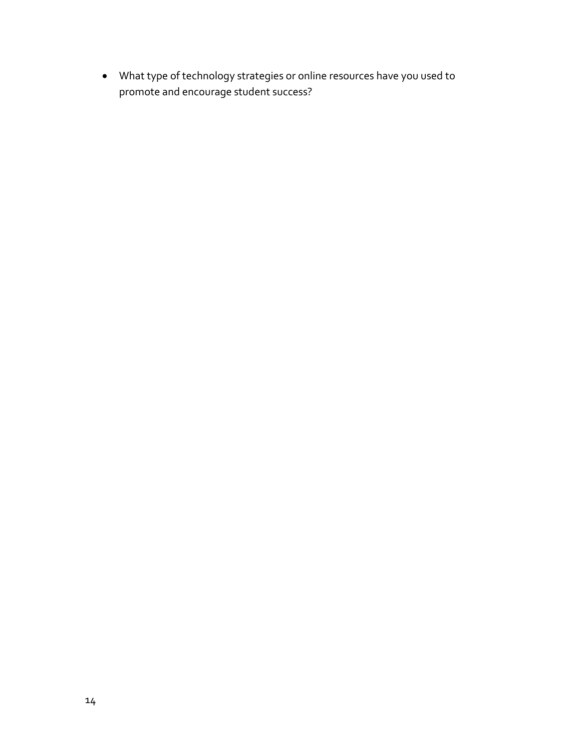• What type of technology strategies or online resources have you used to promote and encourage student success?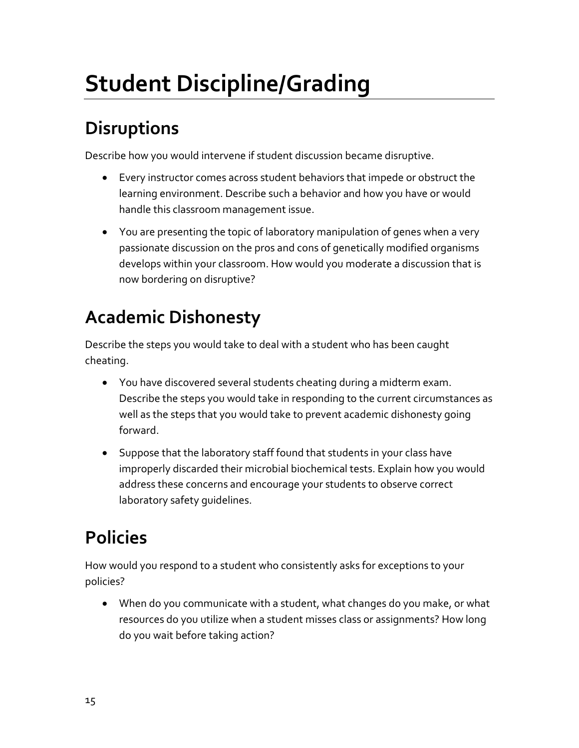## <span id="page-14-0"></span>**Student Discipline/Grading**

### <span id="page-14-1"></span>**Disruptions**

Describe how you would intervene if student discussion became disruptive.

- Every instructor comes across student behaviors that impede or obstruct the learning environment. Describe such a behavior and how you have or would handle this classroom management issue.
- You are presenting the topic of laboratory manipulation of genes when a very passionate discussion on the pros and cons of genetically modified organisms develops within your classroom. How would you moderate a discussion that is now bordering on disruptive?

#### <span id="page-14-2"></span>**Academic Dishonesty**

Describe the steps you would take to deal with a student who has been caught cheating.

- You have discovered several students cheating during a midterm exam. Describe the steps you would take in responding to the current circumstances as well as the steps that you would take to prevent academic dishonesty going forward.
- Suppose that the laboratory staff found that students in your class have improperly discarded their microbial biochemical tests. Explain how you would address these concerns and encourage your students to observe correct laboratory safety guidelines.

### <span id="page-14-3"></span>**Policies**

How would you respond to a student who consistently asks for exceptions to your policies?

• When do you communicate with a student, what changes do you make, or what resources do you utilize when a student misses class or assignments? How long do you wait before taking action?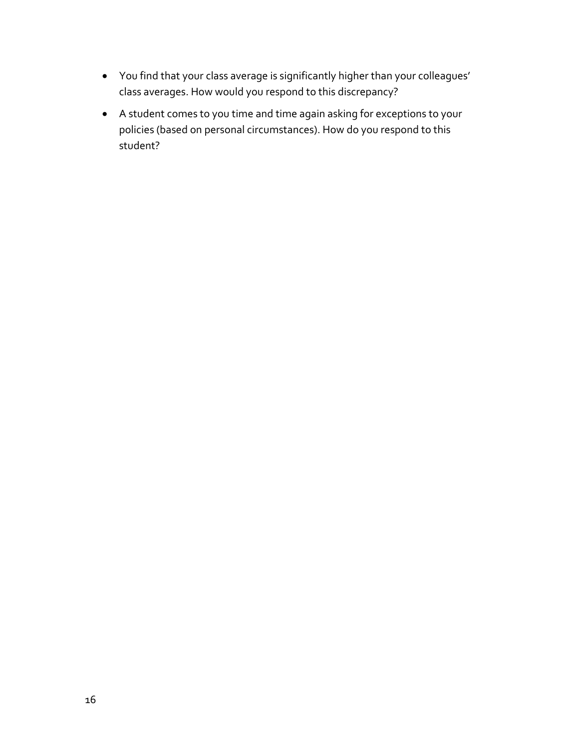- You find that your class average is significantly higher than your colleagues' class averages. How would you respond to this discrepancy?
- A student comes to you time and time again asking for exceptions to your policies (based on personal circumstances). How do you respond to this student?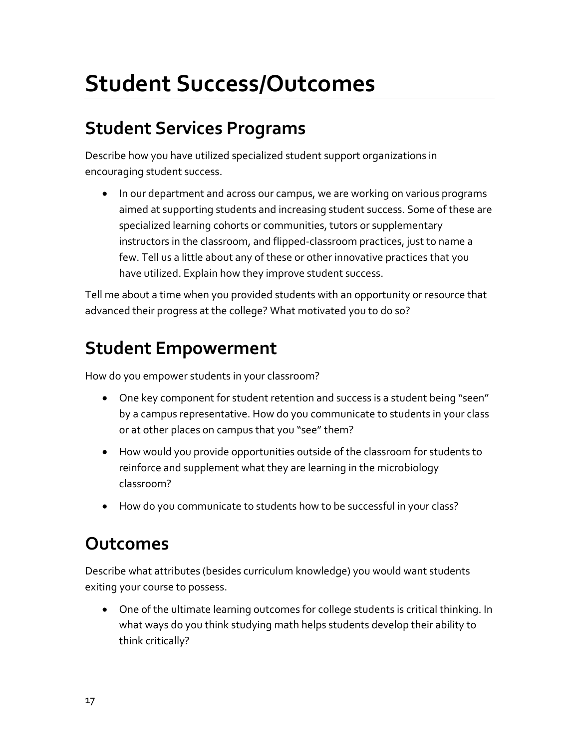### <span id="page-16-0"></span>**Student Success/Outcomes**

#### <span id="page-16-1"></span>**Student Services Programs**

Describe how you have utilized specialized student support organizations in encouraging student success.

• In our department and across our campus, we are working on various programs aimed at supporting students and increasing student success. Some of these are specialized learning cohorts or communities, tutors or supplementary instructors in the classroom, and flipped-classroom practices, just to name a few. Tell us a little about any of these or other innovative practices that you have utilized. Explain how they improve student success.

Tell me about a time when you provided students with an opportunity or resource that advanced their progress at the college? What motivated you to do so?

#### <span id="page-16-2"></span>**Student Empowerment**

How do you empower students in your classroom?

- One key component for student retention and success is a student being "seen" by a campus representative. How do you communicate to students in your class or at other places on campus that you "see" them?
- How would you provide opportunities outside of the classroom for students to reinforce and supplement what they are learning in the microbiology classroom?
- How do you communicate to students how to be successful in your class?

#### <span id="page-16-3"></span>**Outcomes**

Describe what attributes (besides curriculum knowledge) you would want students exiting your course to possess.

• One of the ultimate learning outcomes for college students is critical thinking. In what ways do you think studying math helps students develop their ability to think critically?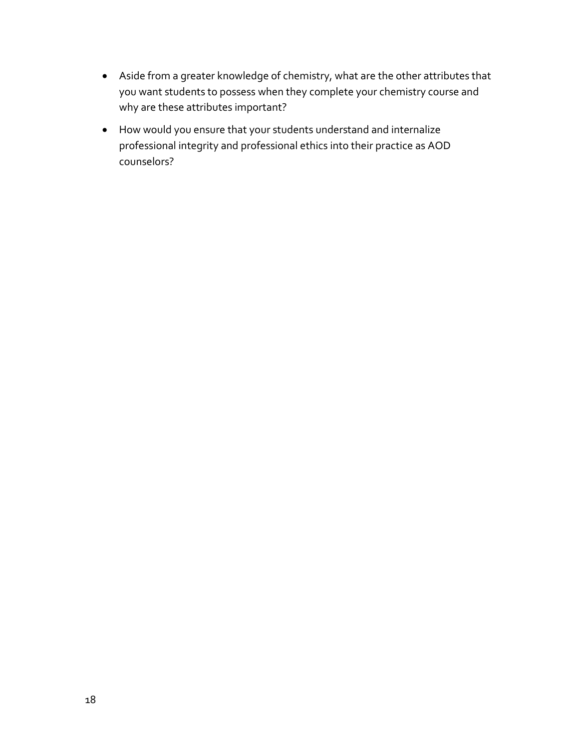- Aside from a greater knowledge of chemistry, what are the other attributes that you want students to possess when they complete your chemistry course and why are these attributes important?
- How would you ensure that your students understand and internalize professional integrity and professional ethics into their practice as AOD counselors?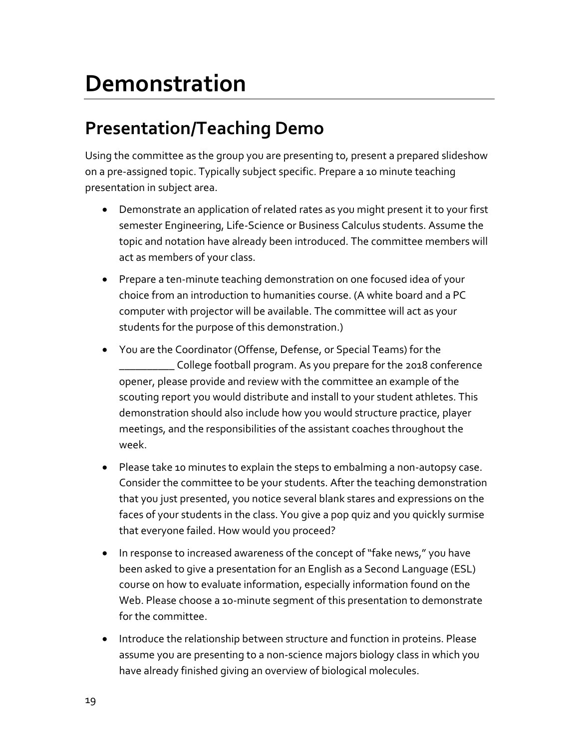### <span id="page-18-0"></span>**Demonstration**

#### <span id="page-18-1"></span>**Presentation/Teaching Demo**

Using the committee as the group you are presenting to, present a prepared slideshow on a pre-assigned topic. Typically subject specific. Prepare a 10 minute teaching presentation in subject area.

- Demonstrate an application of related rates as you might present it to your first semester Engineering, Life-Science or Business Calculus students. Assume the topic and notation have already been introduced. The committee members will act as members of your class.
- Prepare a ten-minute teaching demonstration on one focused idea of your choice from an introduction to humanities course. (A white board and a PC computer with projector will be available. The committee will act as your students for the purpose of this demonstration.)
- You are the Coordinator (Offense, Defense, or Special Teams) for the \_\_\_\_\_\_\_\_\_\_ College football program. As you prepare for the 2018 conference opener, please provide and review with the committee an example of the scouting report you would distribute and install to your student athletes. This demonstration should also include how you would structure practice, player meetings, and the responsibilities of the assistant coaches throughout the week.
- Please take 10 minutes to explain the steps to embalming a non-autopsy case. Consider the committee to be your students. After the teaching demonstration that you just presented, you notice several blank stares and expressions on the faces of your students in the class. You give a pop quiz and you quickly surmise that everyone failed. How would you proceed?
- In response to increased awareness of the concept of "fake news," you have been asked to give a presentation for an English as a Second Language (ESL) course on how to evaluate information, especially information found on the Web. Please choose a 10-minute segment of this presentation to demonstrate for the committee.
- Introduce the relationship between structure and function in proteins. Please assume you are presenting to a non-science majors biology class in which you have already finished giving an overview of biological molecules.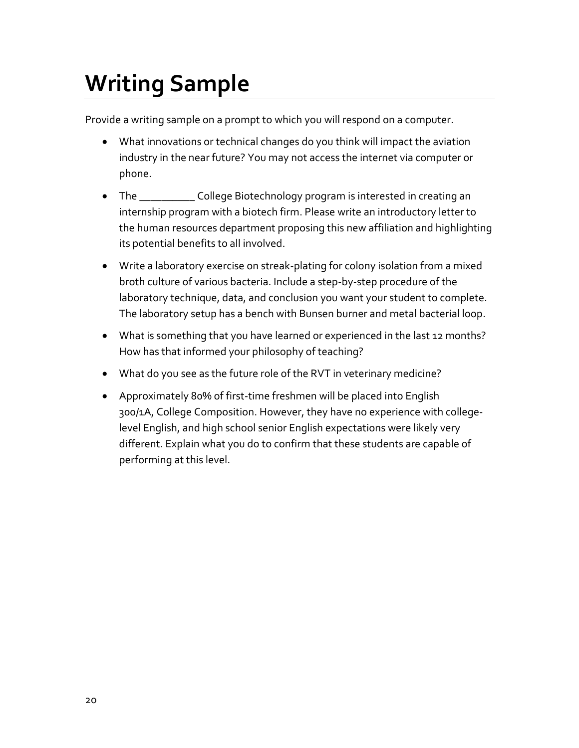## <span id="page-19-0"></span>**Writing Sample**

Provide a writing sample on a prompt to which you will respond on a computer.

- What innovations or technical changes do you think will impact the aviation industry in the near future? You may not access the internet via computer or phone.
- The \_\_\_\_\_\_\_\_\_\_\_\_\_ College Biotechnology program is interested in creating an internship program with a biotech firm. Please write an introductory letter to the human resources department proposing this new affiliation and highlighting its potential benefits to all involved.
- Write a laboratory exercise on streak-plating for colony isolation from a mixed broth culture of various bacteria. Include a step-by-step procedure of the laboratory technique, data, and conclusion you want your student to complete. The laboratory setup has a bench with Bunsen burner and metal bacterial loop.
- What is something that you have learned or experienced in the last 12 months? How has that informed your philosophy of teaching?
- What do you see as the future role of the RVT in veterinary medicine?
- Approximately 80% of first-time freshmen will be placed into English 300/1A, College Composition. However, they have no experience with collegelevel English, and high school senior English expectations were likely very different. Explain what you do to confirm that these students are capable of performing at this level.